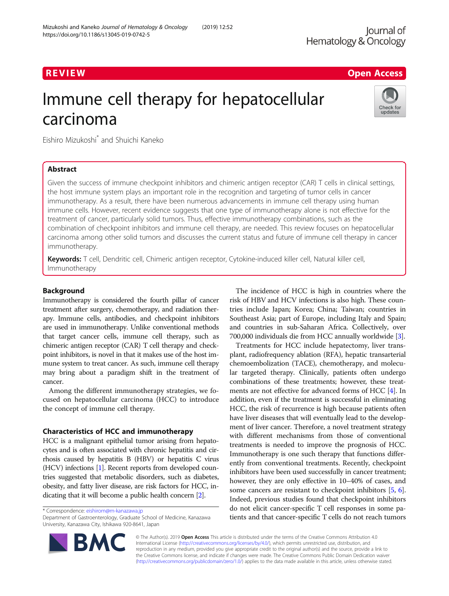# R EVI EW Open Access

# Immune cell therapy for hepatocellular carcinoma



Eishiro Mizukoshi\* and Shuichi Kaneko

# Abstract

Given the success of immune checkpoint inhibitors and chimeric antigen receptor (CAR) T cells in clinical settings, the host immune system plays an important role in the recognition and targeting of tumor cells in cancer immunotherapy. As a result, there have been numerous advancements in immune cell therapy using human immune cells. However, recent evidence suggests that one type of immunotherapy alone is not effective for the treatment of cancer, particularly solid tumors. Thus, effective immunotherapy combinations, such as the combination of checkpoint inhibitors and immune cell therapy, are needed. This review focuses on hepatocellular carcinoma among other solid tumors and discusses the current status and future of immune cell therapy in cancer immunotherapy.

Keywords: T cell, Dendritic cell, Chimeric antigen receptor, Cytokine-induced killer cell, Natural killer cell, Immunotherapy

# Background

Immunotherapy is considered the fourth pillar of cancer treatment after surgery, chemotherapy, and radiation therapy. Immune cells, antibodies, and checkpoint inhibitors are used in immunotherapy. Unlike conventional methods that target cancer cells, immune cell therapy, such as chimeric antigen receptor (CAR) T cell therapy and checkpoint inhibitors, is novel in that it makes use of the host immune system to treat cancer. As such, immune cell therapy may bring about a paradigm shift in the treatment of cancer.

Among the different immunotherapy strategies, we focused on hepatocellular carcinoma (HCC) to introduce the concept of immune cell therapy.

# Characteristics of HCC and immunotherapy

HCC is a malignant epithelial tumor arising from hepatocytes and is often associated with chronic hepatitis and cirrhosis caused by hepatitis B (HBV) or hepatitis C virus (HCV) infections [\[1](#page-6-0)]. Recent reports from developed countries suggested that metabolic disorders, such as diabetes, obesity, and fatty liver disease, are risk factors for HCC, indicating that it will become a public health concern [\[2\]](#page-6-0).

\* Correspondence: [eishirom@m-kanazawa.jp](mailto:eishirom@m-kanazawa.jp)

**BM** 

Department of Gastroenterology, Graduate School of Medicine, Kanazawa University, Kanazawa City, Ishikawa 920-8641, Japan



Treatments for HCC include hepatectomy, liver transplant, radiofrequency ablation (RFA), hepatic transarterial chemoembolization (TACE), chemotherapy, and molecular targeted therapy. Clinically, patients often undergo combinations of these treatments; however, these treatments are not effective for advanced forms of HCC [\[4\]](#page-6-0). In addition, even if the treatment is successful in eliminating HCC, the risk of recurrence is high because patients often have liver diseases that will eventually lead to the development of liver cancer. Therefore, a novel treatment strategy with different mechanisms from those of conventional treatments is needed to improve the prognosis of HCC. Immunotherapy is one such therapy that functions differently from conventional treatments. Recently, checkpoint inhibitors have been used successfully in cancer treatment; however, they are only effective in 10–40% of cases, and some cancers are resistant to checkpoint inhibitors [\[5](#page-7-0), [6](#page-7-0)]. Indeed, previous studies found that checkpoint inhibitors do not elicit cancer-specific T cell responses in some patients and that cancer-specific T cells do not reach tumors

© The Author(s). 2019 Open Access This article is distributed under the terms of the Creative Commons Attribution 4.0 International License [\(http://creativecommons.org/licenses/by/4.0/](http://creativecommons.org/licenses/by/4.0/)), which permits unrestricted use, distribution, and reproduction in any medium, provided you give appropriate credit to the original author(s) and the source, provide a link to the Creative Commons license, and indicate if changes were made. The Creative Commons Public Domain Dedication waiver [\(http://creativecommons.org/publicdomain/zero/1.0/](http://creativecommons.org/publicdomain/zero/1.0/)) applies to the data made available in this article, unless otherwise stated.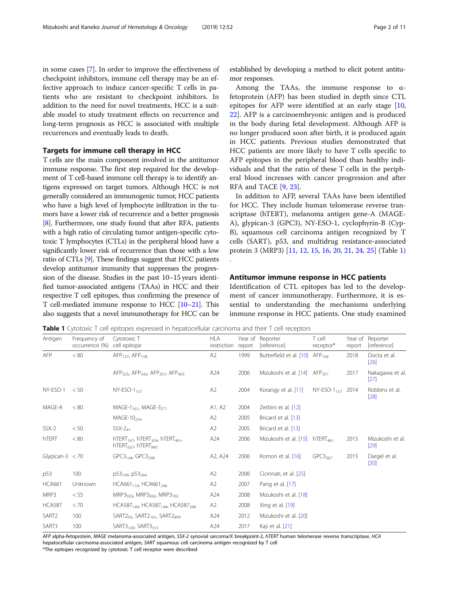<span id="page-1-0"></span>in some cases [\[7\]](#page-7-0). In order to improve the effectiveness of checkpoint inhibitors, immune cell therapy may be an effective approach to induce cancer-specific T cells in patients who are resistant to checkpoint inhibitors. In addition to the need for novel treatments, HCC is a suitable model to study treatment effects on recurrence and long-term prognosis as HCC is associated with multiple recurrences and eventually leads to death.

# Targets for immune cell therapy in HCC

T cells are the main component involved in the antitumor immune response. The first step required for the development of T cell-based immune cell therapy is to identify antigens expressed on target tumors. Although HCC is not generally considered an immunogenic tumor, HCC patients who have a high level of lymphocyte infiltration in the tumors have a lower risk of recurrence and a better prognosis [[8](#page-7-0)]. Furthermore, one study found that after RFA, patients with a high ratio of circulating tumor antigen-specific cytotoxic T lymphocytes (CTLs) in the peripheral blood have a significantly lower risk of recurrence than those with a low ratio of CTLs [\[9](#page-7-0)]. These findings suggest that HCC patients develop antitumor immunity that suppresses the progression of the disease. Studies in the past 10–15 years identified tumor-associated antigens (TAAs) in HCC and their respective T cell epitopes, thus confirming the presence of T cell-mediated immune response to HCC [\[10](#page-7-0)–[21\]](#page-7-0). This also suggests that a novel immunotherapy for HCC can be

established by developing a method to elicit potent antitumor responses.

Among the TAAs, the immune response to  $\alpha$ fetoprotein (AFP) has been studied in depth since CTL epitopes for AFP were identified at an early stage [[10](#page-7-0), [22\]](#page-7-0). AFP is a carcinoembryonic antigen and is produced in the body during fetal development. Although AFP is no longer produced soon after birth, it is produced again in HCC patients. Previous studies demonstrated that HCC patients are more likely to have T cells specific to AFP epitopes in the peripheral blood than healthy individuals and that the ratio of these T cells in the peripheral blood increases with cancer progression and after RFA and TACE [\[9](#page-7-0), [23](#page-7-0)].

In addition to AFP, several TAAs have been identified for HCC. They include human telomerase reverse transcriptase (hTERT), melanoma antigen gene-A (MAGE-A), glypican-3 (GPC3), NY-ESO-1, cyclophyrin-B (Cyp-B), squamous cell carcinoma antigen recognized by T cells (SART), p53, and multidrug resistance-associated protein 3 (MRP3) [[11,](#page-7-0) [12](#page-7-0), [15](#page-7-0), [16](#page-7-0), [20,](#page-7-0) [21,](#page-7-0) [24](#page-7-0), [25](#page-7-0)] (Table 1) .

#### Antitumor immune response in HCC patients

Identification of CTL epitopes has led to the development of cancer immunotherapy. Furthermore, it is essential to understanding the mechanisms underlying immune response in HCC patients. One study examined

Antigen Frequency of occurrence (%) Cytotoxic T cell epitope HI A restriction Year of report **Reporter** [reference] T cell receptor\* Year of report Reporter [reference] AFP  $< 80$  AFP<sub>137</sub>, AFP<sub>158</sub> AC A2 1999 Butterfield et al. [\[10\]](#page-7-0) AFP<sub>158</sub> 2018 Docta et al. [\[26\]](#page-7-0) AFP<sub>325</sub>, AFP<sub>542</sub>, AFP<sub>357</sub>, AFP<sub>403</sub> A24 2006 Mizukoshi et al. [\[14\]](#page-7-0) AFP<sub>357</sub> 2017 Nakagawa et al. [\[27\]](#page-7-0)  $NY-ESO-1$  < 50  $NY-ESO-1_{157}$   $A2$   $2004$  Korangy et al. [[11](#page-7-0)]  $NY-ESO-1_{157}$  2014 Robbins et al. [\[28\]](#page-7-0)  $MAGE-A$  < 80  $MAGE-1_{161}$ ,  $MAGE-3_{271}$   $A1$ ,  $A2$  2004 Zerbini et al. [[12\]](#page-7-0)  $MAGE-10_{254}$   $A2$   $2005$  Bricard et al. [\[13\]](#page-7-0)  $S$ SX-2  $\lt$  50  $S$ SX-2<sub>41</sub>  $\lt$  A2 2005 Bricard et al. [\[13\]](#page-7-0) hTERT  $< 80$  hTERT<sub>167</sub>, hTERT<sub>324</sub>, hTERT<sub>461</sub>,  $hTERT<sub>637</sub>$ , hTERT $<sub>845</sub>$ </sub> A24 2006 Mizukoshi et al. [\[15\]](#page-7-0) hTERT<sub>461</sub> 2015 Mizukoshi et al. [\[29\]](#page-7-0) Glypican-3 < 70 GPC3<sub>144</sub>, GPC3<sub>298</sub> A2, A24 2006 Komori et al. [[16](#page-7-0)] GPC3<sub>367</sub> 2015 Dargel et al. [\[30\]](#page-7-0) p53 100 p53<sub>149</sub>, p53<sub>264</sub> A2 2006 Cicinnati, et al. [\[25](#page-7-0)]  $HCA661$  Unknown  $HCA661_{110}$ ,  $HCA661_{246}$   $A2$  2007 Pang et al. [[17](#page-7-0)]  $MRP3$  < 55 MRP3<sub>503</sub>,  $MRP3_{692}$ ,  $MRP3_{765}$  A24 2008 Mizukoshi et al. [\[18\]](#page-7-0) HCA587 < 70 HCA587<sub>140</sub>, HCA587<sub>144</sub>, HCA587<sub>248</sub> A2 2008 Xing et al. [\[19\]](#page-7-0) SART2 100 SART2<sub>93</sub>, SART2<sub>161</sub>, SART2<sub>899</sub> A24 2012 Mizukoshi et al. [\[20\]](#page-7-0)  $SART3$  100  $SART3_{109}$ ,  $SART3_{315}$  A24 2017 Kaji et al. [[21](#page-7-0)]

Table 1 Cytotoxic T cell epitopes expressed in hepatocellular carcinoma and their T cell receptors

AFP alpha-fetoprotein, MAGE melanoma-associated antigen, SSX-2 synovial sarcoma/X breakpoint-2, hTERT human telomerase reverse transcriptase, HCA hepatocellular carcinoma-associated antigen, SART squamous cell carcinoma antigen recognized by T cell

\*The epitopes recognized by cytotoxic T cell receptor were described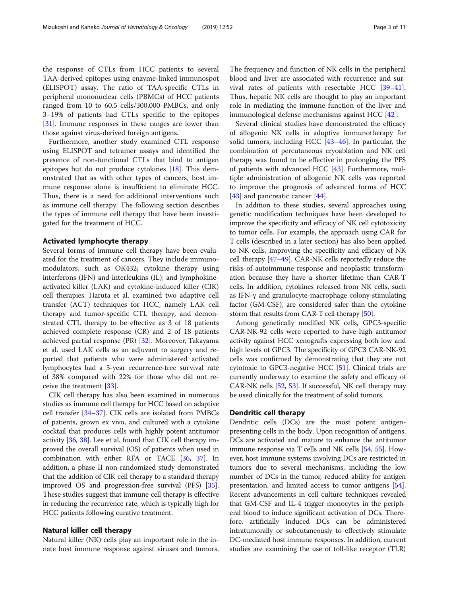the response of CTLs from HCC patients to several TAA-derived epitopes using enzyme-linked immunospot (ELISPOT) assay. The ratio of TAA-specific CTLs in peripheral mononuclear cells (PBMCs) of HCC patients ranged from 10 to 60.5 cells/300,000 PMBCs, and only 3–19% of patients had CTLs specific to the epitopes [[31\]](#page-7-0). Immune responses in these ranges are lower than those against virus-derived foreign antigens.

Furthermore, another study examined CTL response using ELISPOT and tetramer assays and identified the presence of non-functional CTLs that bind to antigen epitopes but do not produce cytokines [[18](#page-7-0)]. This demonstrated that as with other types of cancers, host immune response alone is insufficient to eliminate HCC. Thus, there is a need for additional interventions such as immune cell therapy. The following section describes the types of immune cell therapy that have been investigated for the treatment of HCC.

#### Activated lymphocyte therapy

Several forms of immune cell therapy have been evaluated for the treatment of cancers. They include immunomodulators, such as OK432; cytokine therapy using interferons (IFN) and interleukins (IL); and lymphokineactivated killer (LAK) and cytokine-induced killer (CIK) cell therapies. Haruta et al. examined two adaptive cell transfer (ACT) techniques for HCC, namely LAK cell therapy and tumor-specific CTL therapy, and demonstrated CTL therapy to be effective as 3 of 18 patients achieved complete response (CR) and 2 of 18 patients achieved partial response (PR) [\[32](#page-7-0)]. Moreover, Takayama et al. used LAK cells as an adjuvant to surgery and reported that patients who were administered activated lymphocytes had a 5-year recurrence-free survival rate of 38% compared with 22% for those who did not receive the treatment [[33\]](#page-7-0).

CIK cell therapy has also been examined in numerous studies as immune cell therapy for HCC based on adaptive cell transfer [[34](#page-7-0)–[37\]](#page-7-0). CIK cells are isolated from PMBCs of patients, grown ex vivo, and cultured with a cytokine cocktail that produces cells with highly potent antitumor activity [\[36,](#page-7-0) [38](#page-7-0)]. Lee et al. found that CIK cell therapy improved the overall survival (OS) of patients when used in combination with either RFA or TACE [\[36,](#page-7-0) [37](#page-7-0)]. In addition, a phase II non-randomized study demonstrated that the addition of CIK cell therapy to a standard therapy improved OS and progression-free survival (PFS) [[35](#page-7-0)]. These studies suggest that immune cell therapy is effective in reducing the recurrence rate, which is typically high for HCC patients following curative treatment.

#### Natural killer cell therapy

Natural killer (NK) cells play an important role in the innate host immune response against viruses and tumors.

The frequency and function of NK cells in the peripheral blood and liver are associated with recurrence and survival rates of patients with resectable HCC [[39](#page-7-0)–[41](#page-8-0)]. Thus, hepatic NK cells are thought to play an important role in mediating the immune function of the liver and immunological defense mechanisms against HCC [[42\]](#page-8-0).

Several clinical studies have demonstrated the efficacy of allogenic NK cells in adoptive immunotherapy for solid tumors, including HCC [\[43](#page-8-0)–[46](#page-8-0)]. In particular, the combination of percutaneous cryoablation and NK cell therapy was found to be effective in prolonging the PFS of patients with advanced HCC [[43](#page-8-0)]. Furthermore, multiple administration of allogenic NK cells was reported to improve the prognosis of advanced forms of HCC [[43\]](#page-8-0) and pancreatic cancer [[44](#page-8-0)].

In addition to these studies, several approaches using genetic modification techniques have been developed to improve the specificity and efficacy of NK cell cytotoxicity to tumor cells. For example, the approach using CAR for T cells (described in a later section) has also been applied to NK cells, improving the specificity and efficacy of NK cell therapy [[47](#page-8-0)–[49\]](#page-8-0). CAR-NK cells reportedly reduce the risks of autoimmune response and neoplastic transformation because they have a shorter lifetime than CAR-T cells. In addition, cytokines released from NK cells, such as IFN-γ and granulocyte-macrophage colony-stimulating factor (GM-CSF), are considered safer than the cytokine storm that results from CAR-T cell therapy [[50](#page-8-0)].

Among genetically modified NK cells, GPC3-specific CAR-NK-92 cells were reported to have high antitumor activity against HCC xenografts expressing both low and high levels of GPC3. The specificity of GPC3 CAR-NK-92 cells was confirmed by demonstrating that they are not cytotoxic to GPC3-negative HCC [\[51](#page-8-0)]. Clinical trials are currently underway to examine the safety and efficacy of CAR-NK cells [\[52,](#page-8-0) [53\]](#page-8-0). If successful, NK cell therapy may be used clinically for the treatment of solid tumors.

#### Dendritic cell therapy

Dendritic cells (DCs) are the most potent antigenpresenting cells in the body. Upon recognition of antigens, DCs are activated and mature to enhance the antitumor immune response via T cells and NK cells [[54](#page-8-0), [55](#page-8-0)]. However, host immune systems involving DCs are restricted in tumors due to several mechanisms, including the low number of DCs in the tumor, reduced ability for antigen presentation, and limited access to tumor antigens [[54](#page-8-0)]. Recent advancements in cell culture techniques revealed that GM-CSF and IL-4 trigger monocytes in the peripheral blood to induce significant activation of DCs. Therefore, artificially induced DCs can be administered intratumorally or subcutaneously to effectively stimulate DC-mediated host immune responses. In addition, current studies are examining the use of toll-like receptor (TLR)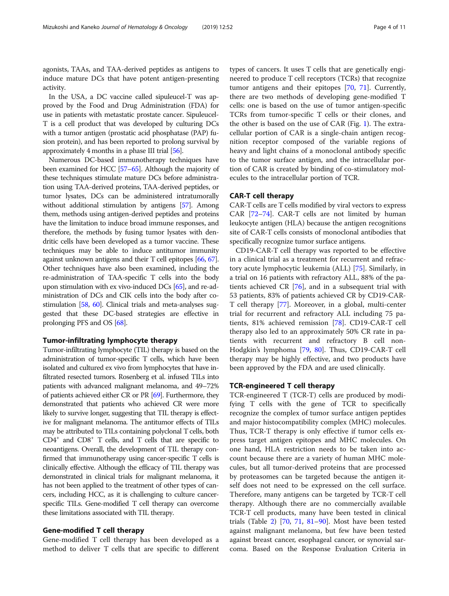agonists, TAAs, and TAA-derived peptides as antigens to induce mature DCs that have potent antigen-presenting activity.

In the USA, a DC vaccine called sipuleucel-T was approved by the Food and Drug Administration (FDA) for use in patients with metastatic prostate cancer. Sipuleucel-T is a cell product that was developed by culturing DCs with a tumor antigen (prostatic acid phosphatase (PAP) fusion protein), and has been reported to prolong survival by approximately 4 months in a phase III trial [\[56](#page-8-0)].

Numerous DC-based immunotherapy techniques have been examined for HCC [\[57](#page-8-0)–[65](#page-8-0)]. Although the majority of these techniques stimulate mature DCs before administration using TAA-derived proteins, TAA-derived peptides, or tumor lysates, DCs can be administered intratumorally without additional stimulation by antigens [\[57\]](#page-8-0). Among them, methods using antigen-derived peptides and proteins have the limitation to induce broad immune responses, and therefore, the methods by fusing tumor lysates with dendritic cells have been developed as a tumor vaccine. These techniques may be able to induce antitumor immunity against unknown antigens and their T cell epitopes [[66](#page-8-0), [67](#page-8-0)]. Other techniques have also been examined, including the re-administration of TAA-specific T cells into the body upon stimulation with ex vivo-induced DCs [[65](#page-8-0)], and re-administration of DCs and CIK cells into the body after costimulation [[58](#page-8-0), [60](#page-8-0)]. Clinical trials and meta-analyses suggested that these DC-based strategies are effective in prolonging PFS and OS [[68](#page-8-0)].

### Tumor-infiltrating lymphocyte therapy

Tumor-infiltrating lymphocyte (TIL) therapy is based on the administration of tumor-specific T cells, which have been isolated and cultured ex vivo from lymphocytes that have infiltrated resected tumors. Rosenberg et al. infused TILs into patients with advanced malignant melanoma, and 49–72% of patients achieved either CR or PR [\[69\]](#page-8-0). Furthermore, they demonstrated that patients who achieved CR were more likely to survive longer, suggesting that TIL therapy is effective for malignant melanoma. The antitumor effects of TILs may be attributed to TILs containing polyclonal T cells, both CD4+ and CD8+ T cells, and T cells that are specific to neoantigens. Overall, the development of TIL therapy confirmed that immunotherapy using cancer-specific T cells is clinically effective. Although the efficacy of TIL therapy was demonstrated in clinical trials for malignant melanoma, it has not been applied to the treatment of other types of cancers, including HCC, as it is challenging to culture cancerspecific TILs. Gene-modified T cell therapy can overcome these limitations associated with TIL therapy.

# Gene-modified T cell therapy

Gene-modified T cell therapy has been developed as a method to deliver T cells that are specific to different

types of cancers. It uses T cells that are genetically engineered to produce T cell receptors (TCRs) that recognize tumor antigens and their epitopes [\[70,](#page-8-0) [71\]](#page-8-0). Currently, there are two methods of developing gene-modified T cells: one is based on the use of tumor antigen-specific TCRs from tumor-specific T cells or their clones, and the other is based on the use of CAR (Fig. [1\)](#page-4-0). The extracellular portion of CAR is a single-chain antigen recognition receptor composed of the variable regions of heavy and light chains of a monoclonal antibody specific to the tumor surface antigen, and the intracellular portion of CAR is created by binding of co-stimulatory molecules to the intracellular portion of TCR.

### CAR-T cell therapy

CAR-T cells are T cells modified by viral vectors to express CAR [[72](#page-8-0)–[74](#page-8-0)]. CAR-T cells are not limited by human leukocyte antigen (HLA) because the antigen recognitions site of CAR-T cells consists of monoclonal antibodies that specifically recognize tumor surface antigens.

CD19-CAR-T cell therapy was reported to be effective in a clinical trial as a treatment for recurrent and refractory acute lymphocytic leukemia (ALL) [[75](#page-8-0)]. Similarly, in a trial on 16 patients with refractory ALL, 88% of the patients achieved CR [[76\]](#page-8-0), and in a subsequent trial with 53 patients, 83% of patients achieved CR by CD19-CAR-T cell therapy [[77\]](#page-8-0). Moreover, in a global, multi-center trial for recurrent and refractory ALL including 75 patients, 81% achieved remission [[78\]](#page-9-0). CD19-CAR-T cell therapy also led to an approximately 50% CR rate in patients with recurrent and refractory B cell non-Hodgkin's lymphoma [[79,](#page-9-0) [80](#page-9-0)]. Thus, CD19-CAR-T cell therapy may be highly effective, and two products have been approved by the FDA and are used clinically.

# TCR-engineered T cell therapy

TCR-engineered T (TCR-T) cells are produced by modifying T cells with the gene of TCR to specifically recognize the complex of tumor surface antigen peptides and major histocompatibility complex (MHC) molecules. Thus, TCR-T therapy is only effective if tumor cells express target antigen epitopes and MHC molecules. On one hand, HLA restriction needs to be taken into account because there are a variety of human MHC molecules, but all tumor-derived proteins that are processed by proteasomes can be targeted because the antigen itself does not need to be expressed on the cell surface. Therefore, many antigens can be targeted by TCR-T cell therapy. Although there are no commercially available TCR-T cell products, many have been tested in clinical trials (Table [2\)](#page-4-0)  $[70, 71, 81–90]$  $[70, 71, 81–90]$  $[70, 71, 81–90]$  $[70, 71, 81–90]$  $[70, 71, 81–90]$  $[70, 71, 81–90]$  $[70, 71, 81–90]$  $[70, 71, 81–90]$ . Most have been tested against malignant melanoma, but few have been tested against breast cancer, esophageal cancer, or synovial sarcoma. Based on the Response Evaluation Criteria in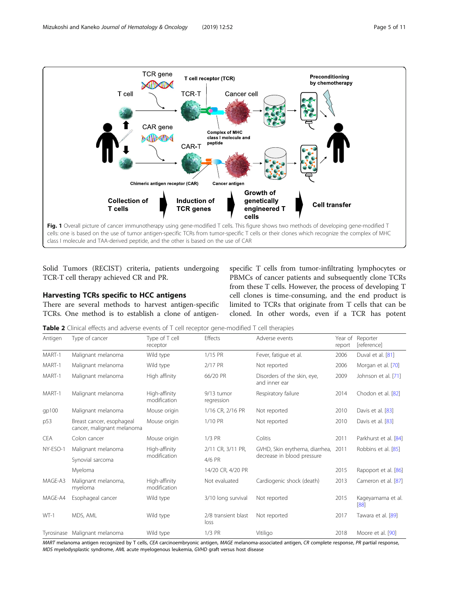<span id="page-4-0"></span>

Solid Tumors (RECIST) criteria, patients undergoing TCR-T cell therapy achieved CR and PR.

# Harvesting TCRs specific to HCC antigens

There are several methods to harvest antigen-specific TCRs. One method is to establish a clone of antigenspecific T cells from tumor-infiltrating lymphocytes or PBMCs of cancer patients and subsequently clone TCRs from these T cells. However, the process of developing T cell clones is time-consuming, and the end product is limited to TCRs that originate from T cells that can be cloned. In other words, even if a TCR has potent

**Table 2** Clinical effects and adverse events of T cell receptor gene-modified T cell therapies

| Antigen    | Type of cancer                                          | Type of T cell<br>receptor    | Effects                     | Adverse events                                               | Year of<br>report | Reporter<br>[reference]   |
|------------|---------------------------------------------------------|-------------------------------|-----------------------------|--------------------------------------------------------------|-------------------|---------------------------|
| MART-1     | Malignant melanoma                                      | Wild type                     | 1/15 PR                     | Fever, fatique et al.                                        | 2006              | Duval et al. [81]         |
| MART-1     | Malignant melanoma                                      | Wild type                     | 2/17 PR                     | Not reported                                                 | 2006              | Morgan et al. [70]        |
| MART-1     | Malignant melanoma                                      | High affinity                 | 66/20 PR                    | Disorders of the skin, eye,<br>and inner ear                 | 2009              | Johnson et al. [71]       |
| MART-1     | Malignant melanoma                                      | High-affinity<br>modification | 9/13 tumor<br>regression    | Respiratory failure                                          | 2014              | Chodon et al. [82]        |
| gp100      | Malignant melanoma                                      | Mouse origin                  | 1/16 CR, 2/16 PR            | Not reported                                                 | 2010              | Davis et al. [83]         |
| p53        | Breast cancer, esophageal<br>cancer, malignant melanoma | Mouse origin                  | 1/10 PR                     | Not reported                                                 | 2010              | Davis et al. [83]         |
| <b>CEA</b> | Colon cancer                                            | Mouse origin                  | $1/3$ PR                    | Colitis                                                      | 2011              | Parkhurst et al. [84]     |
| NY-ESO-1   | Malignant melanoma                                      | High-affinity<br>modification | 2/11 CR, 3/11 PR,           | GVHD, Skin erythema, diarrhea,<br>decrease in blood pressure | 2011              | Robbins et al. [85]       |
|            | Synovial sarcoma                                        |                               | 4/6 PR                      |                                                              |                   |                           |
|            | Myeloma                                                 |                               | 14/20 CR, 4/20 PR           |                                                              | 2015              | Rapoport et al. [86]      |
| MAGE-A3    | Malignant melanoma,<br>myeloma                          | High-affinity<br>modification | Not evaluated               | Cardiogenic shock (death)                                    | 2013              | Cameron et al. [87]       |
| MAGE-A4    | Esophageal cancer                                       | Wild type                     | 3/10 long survival          | Not reported                                                 | 2015              | Kageyamama et al.<br>[88] |
| $WT-1$     | MDS, AML                                                | Wild type                     | 2/8 transient blast<br>loss | Not reported                                                 | 2017              | Tawara et al. [89]        |
|            | Tyrosinase Malignant melanoma                           | Wild type                     | $1/3$ PR                    | Vitiligo                                                     | 2018              | Moore et al. [90]         |

MART melanoma antigen recognized by T cells, CEA carcinoembryonic antigen, MAGE melanoma-associated antigen, CR complete response, PR partial response, MDS myelodysplastic syndrome, AML acute myelogenous leukemia, GVHD graft versus host disease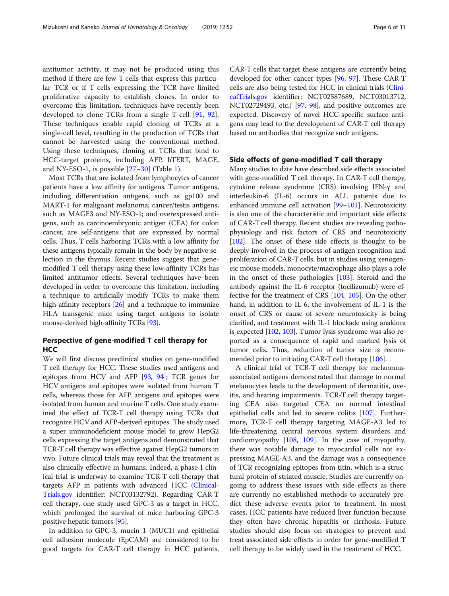antitumor activity, it may not be produced using this method if there are few T cells that express this particular TCR or if T cells expressing the TCR have limited proliferative capacity to establish clones. In order to overcome this limitation, techniques have recently been developed to clone TCRs from a single T cell [\[91,](#page-9-0) [92](#page-9-0)]. These techniques enable rapid cloning of TCRs at a single-cell level, resulting in the production of TCRs that cannot be harvested using the conventional method. Using these techniques, cloning of TCRs that bind to HCC-target proteins, including AFP, hTERT, MAGE, and NY-ESO-1, is possible [\[27](#page-7-0)–[30\]](#page-7-0) (Table [1\)](#page-1-0).

Most TCRs that are isolated from lymphocytes of cancer patients have a low affinity for antigens. Tumor antigens, including differentiation antigens, such as gp100 and MART-1 for malignant melanoma; cancer/testis antigens, such as MAGE3 and NY-ESO-1; and overexpressed antigens, such as carcinoembryonic antigen (CEA) for colon cancer, are self-antigens that are expressed by normal cells. Thus, T cells harboring TCRs with a low affinity for these antigens typically remain in the body by negative selection in the thymus. Recent studies suggest that genemodified T cell therapy using these low-affinity TCRs has limited antitumor effects. Several techniques have been developed in order to overcome this limitation, including a technique to artificially modify TCRs to make them high-affinity receptors [[26](#page-7-0)] and a technique to immunize HLA transgenic mice using target antigens to isolate mouse-derived high-affinity TCRs [\[93\]](#page-9-0).

# Perspective of gene-modified T cell therapy for **HCC**

We will first discuss preclinical studies on gene-modified T cell therapy for HCC. These studies used antigens and epitopes from HCV and AFP [[93](#page-9-0), [94](#page-9-0)]; TCR genes for HCV antigens and epitopes were isolated from human T cells, whereas those for AFP antigens and epitopes were isolated from human and murine T cells. One study examined the effect of TCR-T cell therapy using TCRs that recognize HCV and AFP-derived epitopes. The study used a super immunodeficient mouse model to grow HepG2 cells expressing the target antigens and demonstrated that TCR-T cell therapy was effective against HepG2 tumors in vivo. Future clinical trials may reveal that the treatment is also clinically effective in humans. Indeed, a phase I clinical trial is underway to examine TCR-T cell therapy that targets AFP in patients with advanced HCC ([Clinical-](http://clinicaltrials.gov)[Trials.gov](http://clinicaltrials.gov) identifier: NCT03132792). Regarding CAR-T cell therapy, one study used GPC-3 as a target in HCC, which prolonged the survival of mice harboring GPC-3 positive hepatic tumors [[95](#page-9-0)].

In addition to GPC-3, mucin 1 (MUC1) and epithelial cell adhesion molecule (EpCAM) are considered to be good targets for CAR-T cell therapy in HCC patients. CAR-T cells that target these antigens are currently being developed for other cancer types [\[96,](#page-9-0) [97\]](#page-9-0). These CAR-T cells are also being tested for HCC in clinical trials ([Clini](http://clinicaltrials.gov)[calTrials.gov](http://clinicaltrials.gov) identifier: NCT02587689, NCT03013712, NCT02729493, etc.) [\[97](#page-9-0), [98](#page-9-0)], and positive outcomes are expected. Discovery of novel HCC-specific surface antigens may lead to the development of CAR-T cell therapy based on antibodies that recognize such antigens.

### Side effects of gene-modified T cell therapy

Many studies to date have described side effects associated with gene-modified T cell therapy. In CAR-T cell therapy, cytokine release syndrome (CRS) involving IFN-γ and interleukin-6 (IL-6) occurs in ALL patients due to enhanced immune cell activation [\[99](#page-9-0)–[101](#page-9-0)]. Neurotoxicity is also one of the characteristic and important side effects of CAR-T cell therapy. Recent studies are revealing pathophysiology and risk factors of CRS and neurotoxicity [[102](#page-9-0)]. The onset of these side effects is thought to be deeply involved in the process of antigen recognition and proliferation of CAR-T cells, but in studies using xenogeneic mouse models, monocyte/macrophage also plays a role in the onset of these pathologies [[103](#page-9-0)]. Steroid and the antibody against the IL-6 receptor (tocilizumab) were effective for the treatment of CRS [\[104,](#page-9-0) [105\]](#page-9-0). On the other hand, in addition to IL-6, the involvement of IL-1 is the onset of CRS or cause of severe neurotoxicity is being clarified, and treatment with IL-1 blockade using anakinra is expected [\[102,](#page-9-0) [103](#page-9-0)]. Tumor lysis syndrome was also reported as a consequence of rapid and marked lysis of tumor cells. Thus, reduction of tumor size is recommended prior to initiating CAR-T cell therapy [[106](#page-9-0)].

A clinical trial of TCR-T cell therapy for melanomaassociated antigens demonstrated that damage to normal melanocytes leads to the development of dermatitis, uveitis, and hearing impairments. TCR-T cell therapy targeting CEA also targeted CEA on normal intestinal epithelial cells and led to severe colitis [[107\]](#page-9-0). Furthermore, TCR-T cell therapy targeting MAGE-A3 led to life-threatening central nervous system disorders and cardiomyopathy [\[108,](#page-9-0) [109](#page-10-0)]. In the case of myopathy, there was notable damage to myocardial cells not expressing MAGE-A3, and the damage was a consequence of TCR recognizing epitopes from titin, which is a structural protein of striated muscle. Studies are currently ongoing to address these issues with side effects as there are currently no established methods to accurately predict these adverse events prior to treatment. In most cases, HCC patients have reduced liver function because they often have chronic hepatitis or cirrhosis. Future studies should also focus on strategies to prevent and treat associated side effects in order for gene-modified T cell therapy to be widely used in the treatment of HCC.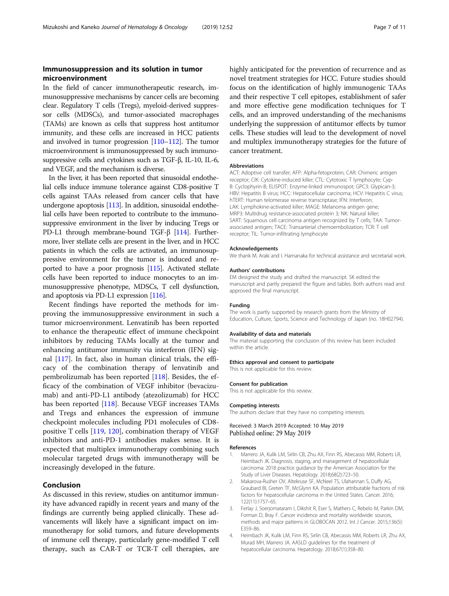# <span id="page-6-0"></span>Immunosuppression and its solution in tumor microenvironment

In the field of cancer immunotherapeutic research, immunosuppressive mechanisms by cancer cells are becoming clear. Regulatory T cells (Tregs), myeloid-derived suppressor cells (MDSCs), and tumor-associated macrophages (TAMs) are known as cells that suppress host antitumor immunity, and these cells are increased in HCC patients and involved in tumor progression [[110](#page-10-0)–[112\]](#page-10-0). The tumor microenvironment is immunosuppressed by such immunosuppressive cells and cytokines such as TGF-β, IL-10, IL-6, and VEGF, and the mechanism is diverse.

In the liver, it has been reported that sinusoidal endothelial cells induce immune tolerance against CD8-positive T cells against TAAs released from cancer cells that have undergone apoptosis [\[113](#page-10-0)]. In addition, sinusoidal endothelial cells have been reported to contribute to the immunosuppressive environment in the liver by inducing Tregs or PD-L1 through membrane-bound TGF-β [\[114\]](#page-10-0). Furthermore, liver stellate cells are present in the liver, and in HCC patients in which the cells are activated, an immunosuppressive environment for the tumor is induced and reported to have a poor prognosis [\[115\]](#page-10-0). Activated stellate cells have been reported to induce monocytes to an immunosuppressive phenotype, MDSCs, T cell dysfunction, and apoptosis via PD-L1 expression [\[116](#page-10-0)].

Recent findings have reported the methods for improving the immunosuppressive environment in such a tumor microenvironment. Lenvatinib has been reported to enhance the therapeutic effect of immune checkpoint inhibitors by reducing TAMs locally at the tumor and enhancing antitumor immunity via interferon (IFN) signal [\[117\]](#page-10-0). In fact, also in human clinical trials, the efficacy of the combination therapy of lenvatinib and pembrolizumab has been reported [[118](#page-10-0)]. Besides, the efficacy of the combination of VEGF inhibitor (bevacizumab) and anti-PD-L1 antibody (atezolizumab) for HCC has been reported [[118](#page-10-0)]. Because VEGF increases TAMs and Tregs and enhances the expression of immune checkpoint molecules including PD1 molecules of CD8 positive T cells [\[119](#page-10-0), [120](#page-10-0)], combination therapy of VEGF inhibitors and anti-PD-1 antibodies makes sense. It is expected that multiplex immunotherapy combining such molecular targeted drugs with immunotherapy will be increasingly developed in the future.

# Conclusion

As discussed in this review, studies on antitumor immunity have advanced rapidly in recent years and many of the findings are currently being applied clinically. These advancements will likely have a significant impact on immunotherapy for solid tumors, and future developments of immune cell therapy, particularly gene-modified T cell therapy, such as CAR-T or TCR-T cell therapies, are highly anticipated for the prevention of recurrence and as novel treatment strategies for HCC. Future studies should focus on the identification of highly immunogenic TAAs and their respective T cell epitopes, establishment of safer and more effective gene modification techniques for T cells, and an improved understanding of the mechanisms underlying the suppression of antitumor effects by tumor cells. These studies will lead to the development of novel and multiplex immunotherapy strategies for the future of cancer treatment.

#### **Abbreviations**

ACT: Adoptive cell transfer; AFP: Alpha-fetoprotein; CAR: Chimeric antigen receptor; CIK: Cytokine-induced killer; CTL: Cytotoxic T lymphocyte; Cyp-B: Cyclophyrin-B; ELISPOT: Enzyme-linked immunospot; GPC3: Glypican-3; HBV: Hepatitis B virus; HCC: Hepatocellular carcinoma; HCV: Hepatitis C virus; hTERT: Human telomerase reverse transcriptase; IFN: Interferon; LAK: Lymphokine-activated killer; MAGE: Melanoma antigen gene; MRP3: Multidrug resistance-associated protein 3; NK: Natural killer; SART: Squamous cell carcinoma antigen recognized by T cells; TAA: Tumorassociated antigen; TACE: Transarterial chemoembolization; TCR: T cell receptor; TIL: Tumor-infiltrating lymphocyte

#### Acknowledgements

We thank M. Araki and I. Hamanaka for technical assistance and secretarial work.

#### Authors' contributions

EM designed the study and drafted the manuscript. SK edited the manuscript and partly prepared the figure and tables. Both authors read and approved the final manuscript.

#### Funding

The work is partly supported by research grants from the Ministry of Education, Culture, Sports, Science and Technology of Japan (no. 18H02794).

#### Availability of data and materials

The material supporting the conclusion of this review has been included within the article.

#### Ethics approval and consent to participate

This is not applicable for this review.

#### Consent for publication

This is not applicable for this review.

#### Competing interests

The authors declare that they have no competing interests.

Received: 3 March 2019 Accepted: 10 May 2019 Published online: 29 May 2019

#### References

- 1. Marrero JA, Kulik LM, Sirlin CB, Zhu AX, Finn RS, Abecassis MM, Roberts LR, Heimbach JK. Diagnosis, staging, and management of hepatocellular carcinoma: 2018 practice guidance by the American Association for the Study of Liver Diseases. Hepatology. 2018;68(2):723–50.
- 2. Makarova-Rusher OV, Altekruse SF, McNeel TS, Ulahannan S, Duffy AG, Graubard BI, Greten TF, McGlynn KA. Population attributable fractions of risk factors for hepatocellular carcinoma in the United States. Cancer. 2016; 122(11):1757–65.
- 3. Ferlay J, Soerjomataram I, Dikshit R, Eser S, Mathers C, Rebelo M, Parkin DM, Forman D, Bray F. Cancer incidence and mortality worldwide: sources, methods and major patterns in GLOBOCAN 2012. Int J Cancer. 2015;136(5): E359–86.
- 4. Heimbach JK, Kulik LM, Finn RS, Sirlin CB, Abecassis MM, Roberts LR, Zhu AX, Murad MH, Marrero JA. AASLD guidelines for the treatment of hepatocellular carcinoma. Hepatology. 2018;67(1):358–80.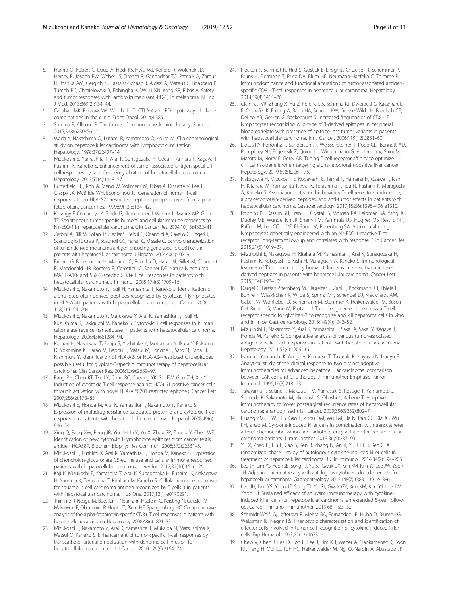- <span id="page-7-0"></span>5. Hamid O, Robert C, Daud A, Hodi FS, Hwu WJ, Kefford R, Wolchok JD, Hersey P, Joseph RW, Weber JS, Dronca R, Gangadhar TC, Patnaik A, Zarour H, Joshua AM, Gergich K, Elassaiss-Schaap J, Algazi A, Mateus C, Boasberg P, Tumeh PC, Chmielowski B, Ebbinghaus SW, Li XN, Kang SP, Ribas A. Safety and tumor responses with lambrolizumab (anti-PD-1) in melanoma. N Engl J Med. 2013;369(2):134–44.
- 6. Callahan MK, Postow MA, Wolchok JD. CTLA-4 and PD-1 pathway blockade: combinations in the clinic. Front Oncol. 2014;4:385.
- 7. Sharma P, Allison JP. The future of immune checkpoint therapy. Science. 2015;348(6230):56–61.
- 8. Wada Y, Nakashima O, Kutami R, Yamamoto O, Kojiro M. Clinicopathological study on hepatocellular carcinoma with lymphocytic infiltration. Hepatology. 1998;27(2):407–14.
- 9. Mizukoshi E, Yamashita T, Arai K, Sunagozaka H, Ueda T, Arihara F, Kagaya T, Fushimi K, Kaneko S. Enhancement of tumor-associated antigen-specific T cell responses by radiofrequency ablation of hepatocellular carcinoma. Hepatology. 2013;57(4):1448–57.
- 10. Butterfield LH, Koh A, Meng W, Vollmer CM, Ribas A, Dissette V, Lee E, Glaspy JA, McBride WH, Economou JS. Generation of human T-cell responses to an HLA-A2.1-restricted peptide epitope derived from alphafetoprotein. Cancer Res. 1999;59(13):3134–42.
- 11. Korangy F, Ormandy LA, Bleck JS, Klempnauer J, Wilkens L, Manns MP, Greten TF. Spontaneous tumor-specific humoral and cellular immune responses to NY-ESO-1 in hepatocellular carcinoma. Clin Cancer Res. 2004;10(13):4332–41.
- 12. Zerbini A, Pilli M, Soliani P, Ziegler S, Pelosi G, Orlandini A, Cavallo C, Uggeri J, Scandroglio R, Crafa P, Spagnoli GC, Ferrari C, Missale G. Ex vivo characterization of tumor-derived melanoma antigen encoding gene-specific CD8+cells in patients with hepatocellular carcinoma. J Hepatol. 2004;40(1):102–9.
- 13. Bricard G, Bouzourene H, Martinet O, Rimoldi D, Halkic N, Gillet M, Chaubert P, Macdonald HR, Romero P, Cerottini JC, Speiser DE. Naturally acquired MAGE-A10- and SSX-2-specific CD8+ T cell responses in patients with hepatocellular carcinoma. J Immunol. 2005;174(3):1709–16.
- 14. Mizukoshi E, Nakamoto Y, Tsuji H, Yamashita T, Kaneko S. Identification of alpha-fetoprotein-derived peptides recognized by cytotoxic T lymphocytes in HLA-A24+ patients with hepatocellular carcinoma. Int J Cancer. 2006; 118(5):1194–204.
- 15. Mizukoshi E, Nakamoto Y, Marukawa Y, Arai K, Yamashita T, Tsuji H, Kuzushima K, Takiguchi M, Kaneko S. Cytotoxic T cell responses to human telomerase reverse transcriptase in patients with hepatocellular carcinoma. Hepatology. 2006;43(6):1284–94.
- 16. Komori H, Nakatsura T, Senju S, Yoshitake Y, Motomura Y, Ikuta Y, Fukuma D, Yokomine K, Harao M, Beppu T, Matsui M, Torigoe T, Sato N, Baba H, Nishimura Y. Identification of HLA-A2- or HLA-A24-restricted CTL epitopes possibly useful for glypican-3-specific immunotherapy of hepatocellular carcinoma. Clin Cancer Res. 2006;12(9):2689–97.
- 17. Pang PH, Chan KT, Tse LY, Chan RC, Cheung YK, Sin FW, Guo ZH, Xie Y. Induction of cytotoxic T cell response against HCA661 positive cancer cells through activation with novel HLA-A \*0201 restricted epitopes. Cancer Lett. 2007;256(2):178–85.
- 18. Mizukoshi E, Honda M, Arai K, Yamashita T, Nakamoto Y, Kaneko S. Expression of multidrug resistance-associated protein 3 and cytotoxic T cell responses in patients with hepatocellular carcinoma. J Hepatol. 2008;49(6): 946–54.
- 19. Xing Q, Pang XW, Peng JR, Yin YH, Li Y, Yu X, Zhou SP, Zhang Y, Chen WF. Identification of new cytotoxic T-lymphocyte epitopes from cancer testis antigen HCA587. Biochem Biophys Res Commun. 2008;372(2):331–5.
- 20. Mizukoshi E, Fushimi K, Arai K, Yamashita T, Honda M, Kaneko S. Expression of chondroitin-glucuronate C5-epimerase and cellular immune responses in patients with hepatocellular carcinoma. Liver Int. 2012;32(10):1516–26.
- 21. Kaji K, Mizukoshi E, Yamashita T, Arai K, Sunagozaka H, Fushimi K, Nakagawa H, Yamada K, Terashima T, Kitahara M, Kaneko S. Cellular immune responses for squamous cell carcinoma antigen recognized by T cells 3 in patients with hepatocellular carcinoma. PloS One. 2017;12(1):e0170291.
- 22. Thimme R, Neagu M, Boettler T, Neumann-Haefelin C, Kersting N, Geissler M, Makowiec F, Obermaier R, Hopt UT, Blum HE, Spangenberg HC. Comprehensive analysis of the alpha-fetoprotein-specific CD8+ T cell responses in patients with hepatocellular carcinoma. Hepatology. 2008;48(6):1821–33.
- 23. Mizukoshi E, Nakamoto Y, Arai K, Yamashita T, Mukaida N, Matsushima K, Matsui O, Kaneko S. Enhancement of tumor-specific T-cell responses by transcatheter arterial embolization with dendritic cell infusion for hepatocellular carcinoma. Int J Cancer. 2010;126(9):2164–74.
- 24. Flecken T, Schmidt N, Hild S, Gostick E, Drognitz O, Zeiser R, Schemmer P, Bruns H, Eiermann T, Price DA, Blum HE, Neumann-Haefelin C, Thimme R. Immunodominance and functional alterations of tumor-associated antigenspecific CD8+ T-cell responses in hepatocellular carcinoma. Hepatology. 2014;59(4):1415–26.
- 25. Cicinnati VR, Zhang X, Yu Z, Ferencik S, Schmitz KJ, Dworacki G, Kaczmarek E, Oldhafer K, Frilling A, Baba HA, Schmid KW, Grosse-Wilde H, Broelsch CE, DeLeo AB, Gerken G, Beckebaum S. Increased frequencies of CD8+ T lymphocytes recognizing wild-type p53-derived epitopes in peripheral blood correlate with presence of epitope loss tumor variants in patients with hepatocellular carcinoma. Int J Cancer. 2006;119(12):2851–60.
- 26. Docta RY, Ferronha T, Sanderson JP, Weissensteiner T, Pope GD, Bennett AD, Pumphrey NJ, Ferjentsik Z, Quinn LL, Wiedermann G, Anderson V, Saini M, Maroto M, Norry E, Gerry AB. Tuning T cell receptor affinity to optimize clinical risk-benefit when targeting alpha-fetoprotein-positive liver cancer. Hepatology. 2019;69(5):2061–75.
- 27. Nakagawa H, Mizukoshi E, Kobayashi E, Tamai T, Hamana H, Ozawa T, Kishi H, Kitahara M, Yamashita T, Arai K, Terashima T, Iida N, Fushimi K, Muraguchi A, Kaneko S. Association between high-avidity T-cell receptors, induced by alpha-fetoprotein-derived peptides, and anti-tumor effects in patients with hepatocellular carcinoma. Gastroenterology. 2017;152(6):1395–406 e1310.
- 28. Robbins PF, Kassim SH, Tran TL, Crystal JS, Morgan RA, Feldman SA, Yang JC, Dudley ME, Wunderlich JR, Sherry RM, Kammula US, Hughes MS, Restifo NP, Raffeld M, Lee CC, Li YF, El-Gamil M, Rosenberg SA. A pilot trial using lymphocytes genetically engineered with an NY-ESO-1-reactive T-cell receptor: long-term follow-up and correlates with response. Clin Cancer Res. 2015;21(5):1019–27.
- 29. Mizukoshi E, Nakagawa H, Kitahara M, Yamashita T, Arai K, Sunagozaka H, Fushimi K, Kobayashi E, Kishi H, Muraguchi A, Kaneko S. Immunological features of T cells induced by human telomerase reverse transcriptasederived peptides in patients with hepatocellular carcinoma. Cancer Lett. 2015;364(2):98–105.
- 30. Dargel C, Bassani-Sternberg M, Hasreiter J, Zani F, Bockmann JH, Thiele F, Bohne F, Wisskirchen K, Wilde S, Sprinzl MF, Schendel DJ, Krackhardt AM, Uckert W, Wohlleber D, Schiemann M, Stemmer K, Heikenwalder M, Busch DH, Richter G, Mann M, Protzer U. T cells engineered to express a T-cell receptor specific for glypican-3 to recognize and kill hepatoma cells in vitro and in mice. Gastroenterology. 2015;149(4):1042–52.
- 31. Mizukoshi E, Nakamoto Y, Arai K, Yamashita T, Sakai A, Sakai Y, Kagaya T, Honda M, Kaneko S. Comparative analysis of various tumor-associated antigen-specific t-cell responses in patients with hepatocellular carcinoma. Hepatology. 2011;53(4):1206–16.
- 32. Haruta I, Yamauchi K, Aruga A, Komatsu T, Takasaki K, Hayashi N, Hanyu F. Analytical study of the clinical response to two distinct adoptive immunotherapies for advanced hepatocellular carcinoma: comparison between LAK cell and CTL therapy. J Immunother Emphasis Tumor Immunol. 1996;19(3):218–23.
- 33. Takayama T, Sekine T, Makuuchi M, Yamasaki S, Kosuge T, Yamamoto J, Shimada K, Sakamoto M, Hirohashi S, Ohashi Y, Kakizoe T. Adoptive immunotherapy to lower postsurgical recurrence rates of hepatocellular carcinoma: a randomised trial. Lancet. 2000;356(9232):802–7.
- 34. Huang ZM, Li W, Li S, Gao F, Zhou QM, Wu FM, He N, Pan CC, Xia JC, Wu PH, Zhao M. Cytokine-induced killer cells in combination with transcatheter arterial chemoembolization and radiofrequency ablation for hepatocellular carcinoma patients. J Immunother. 2013;36(5):287–93.
- 35. Yu X, Zhao H, Liu L, Cao S, Ren B, Zhang N, An X, Yu J, Li H, Ren X. A randomized phase II study of autologous cytokine-induced killer cells in treatment of hepatocellular carcinoma. J Clin Immunol. 2014;34(2):194–203.
- 36. Lee JH, Lim YS, Yeon JE, Song TJ, Yu SJ, Gwak GY, Kim KM, Kim YJ, Lee JW, Yoon JH. Adjuvant immunotherapy with autologous cytokine-induced killer cells for hepatocellular carcinoma. Gastroenterology. 2015;148(7):1383–1391 e1386.
- 37. Lee JH, Lim YS, Yeon JE, Song TJ, Yu SJ, Gwak GY, Kim KM, Kim YJ, Lee JW, Yoon JH. Sustained efficacy of adjuvant immunotherapy with cytokineinduced killer cells for hepatocellular carcinoma: an extended 5-year followup. Cancer Immunol Immunother. 2019;68(1):23–32.
- 38. Schmidt-Wolf IG, Lefterova P, Mehta BA, Fernandez LP, Huhn D, Blume KG, Weissman IL, Negrin RS. Phenotypic characterization and identification of effector cells involved in tumor cell recognition of cytokine-induced killer cells. Exp Hematol. 1993;21(13):1673–9.
- 39. Chew V, Chen J, Lee D, Loh E, Lee J, Lim KH, Weber A, Slankamenac K, Poon RT, Yang H, Ooi LL, Toh HC, Heikenwalder M, Ng IO, Nardin A, Abastado JP.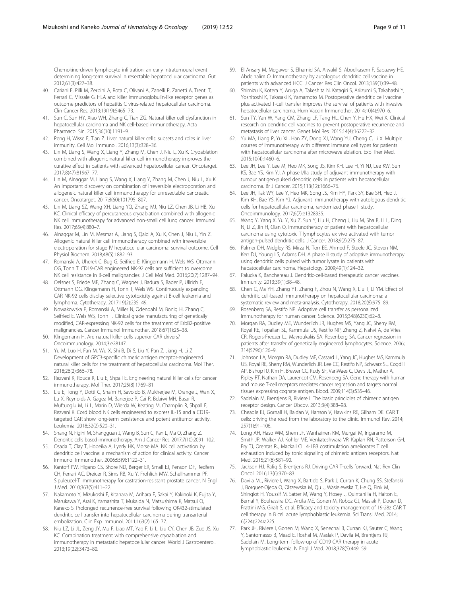<span id="page-8-0"></span>Chemokine-driven lymphocyte infiltration: an early intratumoural event determining long-term survival in resectable hepatocellular carcinoma. Gut. 2012;61(3):427–38.

- 40. Cariani E, Pilli M, Zerbini A, Rota C, Olivani A, Zanelli P, Zanetti A, Trenti T, Ferrari C, Missale G. HLA and killer immunoglobulin-like receptor genes as outcome predictors of hepatitis C virus-related hepatocellular carcinoma. Clin Cancer Res. 2013;19(19):5465–73.
- 41. Sun C, Sun HY, Xiao WH, Zhang C, Tian ZG. Natural killer cell dysfunction in hepatocellular carcinoma and NK cell-based immunotherapy. Acta Pharmacol Sin. 2015;36(10):1191–9.
- 42. Peng H, Wisse E, Tian Z. Liver natural killer cells: subsets and roles in liver immunity. Cell Mol Immunol. 2016;13(3):328–36.
- 43. Lin M, Liang S, Wang X, Liang Y, Zhang M, Chen J, Niu L, Xu K. Cryoablation combined with allogenic natural killer cell immunotherapy improves the curative effect in patients with advanced hepatocellular cancer. Oncotarget. 2017;8(47):81967–77.
- 44. Lin M, Alnaggar M, Liang S, Wang X, Liang Y, Zhang M, Chen J, Niu L, Xu K. An important discovery on combination of irreversible electroporation and allogeneic natural killer cell immunotherapy for unresectable pancreatic cancer. Oncotarget. 2017;8(60):101795–807.
- 45. Lin M, Liang SZ, Wang XH, Liang YQ, Zhang MJ, Niu LZ, Chen JB, Li HB, Xu KC. Clinical efficacy of percutaneous cryoablation combined with allogenic NK cell immunotherapy for advanced non-small cell lung cancer. Immunol Res. 2017;65(4):880–7.
- 46. Alnaggar M, Lin M, Mesmar A, Liang S, Qaid A, Xu K, Chen J, Niu L, Yin Z. Allogenic natural killer cell immunotherapy combined with irreversible electroporation for stage IV hepatocellular carcinoma: survival outcome. Cell Physiol Biochem. 2018;48(5):1882–93.
- 47. Romanski A, Uherek C, Bug G, Seifried E, Klingemann H, Wels WS, Ottmann OG, Tonn T. CD19-CAR engineered NK-92 cells are sufficient to overcome NK cell resistance in B-cell malignancies. J Cell Mol Med. 2016;20(7):1287–94.
- 48. Oelsner S, Friede ME, Zhang C, Wagner J, Badura S, Bader P, Ullrich E, Ottmann OG, Klingemann H, Tonn T, Wels WS. Continuously expanding CAR NK-92 cells display selective cytotoxicity against B-cell leukemia and lymphoma. Cytotherapy. 2017;19(2):235–49.
- 49. Nowakowska P, Romanski A, Miller N, Odendahl M, Bonig H, Zhang C, Seifried E, Wels WS, Tonn T. Clinical grade manufacturing of genetically modified, CAR-expressing NK-92 cells for the treatment of ErbB2-positive malignancies. Cancer Immunol Immunother. 2018;67(1):25–38.
- 50. Klingemann H. Are natural killer cells superior CAR drivers? Oncoimmunology. 2014;3:e28147.
- 51. Yu M, Luo H, Fan M, Wu X, Shi B, Di S, Liu Y, Pan Z, Jiang H, Li Z. Development of GPC3-specific chimeric antigen receptor-engineered natural killer cells for the treatment of hepatocellular carcinoma. Mol Ther. 2018;26(2):366–78.
- 52. Rezvani K, Rouce R, Liu E, Shpall E. Engineering natural killer cells for cancer immunotherapy. Mol Ther. 2017;25(8):1769–81.
- 53. Liu E, Tong Y, Dotti G, Shaim H, Savoldo B, Mukherjee M, Orange J, Wan X, Lu X, Reynolds A, Gagea M, Banerjee P, Cai R, Bdaiwi MH, Basar R, Muftuoglu M, Li L, Marin D, Wierda W, Keating M, Champlin R, Shpall E, Rezvani K. Cord blood NK cells engineered to express IL-15 and a CD19 targeted CAR show long-term persistence and potent antitumor activity. Leukemia. 2018;32(2):520–31.
- 54. Shang N, Figini M, Shangguan J, Wang B, Sun C, Pan L, Ma Q, Zhang Z. Dendritic cells based immunotherapy. Am J Cancer Res. 2017;7(10):2091–102.
- 55. Osada T, Clay T, Hobeika A, Lyerly HK, Morse MA. NK cell activation by dendritic cell vaccine: a mechanism of action for clinical activity. Cancer Immunol Immunother. 2006;55(9):1122–31.
- 56. Kantoff PW, Higano CS, Shore ND, Berger ER, Small EJ, Penson DF, Redfern CH, Ferrari AC, Dreicer R, Sims RB, Xu Y, Frohlich MW, Schellhammer PF. Sipuleucel-T immunotherapy for castration-resistant prostate cancer. N Engl J Med. 2010;363(5):411–22.
- 57. Nakamoto Y, Mizukoshi E, Kitahara M, Arihara F, Sakai Y, Kakinoki K, Fujita Y, Marukawa Y, Arai K, Yamashita T, Mukaida N, Matsushima K, Matsui O, Kaneko S. Prolonged recurrence-free survival following OK432-stimulated dendritic cell transfer into hepatocellular carcinoma during transarterial embolization. Clin Exp Immunol. 2011;163(2):165–77.
- 58. Niu LZ, Li JL, Zeng JY, Mu F, Liao MT, Yao F, Li L, Liu CY, Chen JB, Zuo JS, Xu KC. Combination treatment with comprehensive cryoablation and immunotherapy in metastatic hepatocellular cancer. World J Gastroenterol. 2013;19(22):3473–80.
- 59. El Ansary M, Mogawer S, Elhamid SA, Alwakil S, Aboelkasem F, Sabaawy HE, Abdelhalim O. Immunotherapy by autologous dendritic cell vaccine in patients with advanced HCC. J Cancer Res Clin Oncol. 2013;139(1):39–48.
- 60. Shimizu K, Kotera Y, Aruga A, Takeshita N, Katagiri S, Ariizumi S, Takahashi Y, Yoshitoshi K, Takasaki K, Yamamoto M. Postoperative dendritic cell vaccine plus activated T-cell transfer improves the survival of patients with invasive hepatocellular carcinoma. Hum Vaccin Immunother. 2014;10(4):970–6.
- 61. Sun TY, Yan W, Yang CM, Zhang LF, Tang HL, Chen Y, Hu HX, Wei X. Clinical research on dendritic cell vaccines to prevent postoperative recurrence and metastasis of liver cancer. Genet Mol Res. 2015;14(4):16222–32.
- 62. Yu MA, Liang P, Yu XL, Han ZY, Dong XJ, Wang YU, Cheng C, Li X. Multiple courses of immunotherapy with different immune cell types for patients with hepatocellular carcinoma after microwave ablation. Exp Ther Med. 2015;10(4):1460–6.
- 63. Lee JH, Lee Y, Lee M, Heo MK, Song JS, Kim KH, Lee H, Yi NJ, Lee KW, Suh KS, Bae YS, Kim YJ. A phase I/IIa study of adjuvant immunotherapy with tumour antigen-pulsed dendritic cells in patients with hepatocellular carcinoma. Br J Cancer. 2015;113(12):1666–76.
- 64. Lee JH, Tak WY, Lee Y, Heo MK, Song JS, Kim HY, Park SY, Bae SH, Heo J, Kim KH, Bae YS, Kim YJ. Adjuvant immunotherapy with autologous dendritic cells for hepatocellular carcinoma, randomized phase II study. Oncoimmunology. 2017;6(7):e1328335.
- 65. Wang Y, Yang X, Yu Y, Xu Z, Sun Y, Liu H, Cheng J, Liu M, Sha B, Li L, Ding N, Li Z, Jin H, Qian Q. Immunotherapy of patient with hepatocellular carcinoma using cytotoxic T lymphocytes ex vivo activated with tumor antigen-pulsed dendritic cells. J Cancer. 2018;9(2):275–87.
- 66. Palmer DH, Midgley RS, Mirza N, Torr EE, Ahmed F, Steele JC, Steven NM, Kerr DJ, Young LS, Adams DH. A phase II study of adoptive immunotherapy using dendritic cells pulsed with tumor lysate in patients with hepatocellular carcinoma. Hepatology. 2009;49(1):124–32.
- 67. Palucka K, Banchereau J. Dendritic-cell-based therapeutic cancer vaccines. Immunity. 2013;39(1):38–48.
- 68. Chen C, Ma YH, Zhang YT, Zhang F, Zhou N, Wang X, Liu T, Li YM. Effect of dendritic cell-based immunotherapy on hepatocellular carcinoma: a systematic review and meta-analysis. Cytotherapy. 2018;20(8):975–89.
- Rosenberg SA, Restifo NP. Adoptive cell transfer as personalized immunotherapy for human cancer. Science. 2015;348(6230):62–8.
- 70. Morgan RA, Dudley ME, Wunderlich JR, Hughes MS, Yang JC, Sherry RM, Royal RE, Topalian SL, Kammula US, Restifo NP, Zheng Z, Nahvi A, de Vries CR, Rogers-Freezer LJ, Mavroukakis SA, Rosenberg SA. Cancer regression in patients after transfer of genetically engineered lymphocytes. Science. 2006; 314(5796):126–9.
- 71. Johnson LA, Morgan RA, Dudley ME, Cassard L, Yang JC, Hughes MS, Kammula US, Royal RE, Sherry RM, Wunderlich JR, Lee CC, Restifo NP, Schwarz SL, Cogdill AP, Bishop RJ, Kim H, Brewer CC, Rudy SF, VanWaes C, Davis JL, Mathur A, Ripley RT, Nathan DA, Laurencot CM, Rosenberg SA. Gene therapy with human and mouse T-cell receptors mediates cancer regression and targets normal tissues expressing cognate antigen. Blood. 2009;114(3):535–46.
- 72. Sadelain M, Brentjens R, Riviere I. The basic principles of chimeric antigen receptor design. Cancer Discov. 2013;3(4):388–98.
- 73. Cheadle EJ, Gornall H, Baldan V, Hanson V, Hawkins RE, Gilham DE. CAR T cells: driving the road from the laboratory to the clinic. Immunol Rev. 2014; 257(1):91–106.
- 74. Long AH, Haso WM, Shern JF, Wanhainen KM, Murgai M, Ingaramo M, Smith JP, Walker AJ, Kohler ME, Venkateshwara VR, Kaplan RN, Patterson GH, Fry TJ, Orentas RJ, Mackall CL. 4-1BB costimulation ameliorates T cell exhaustion induced by tonic signaling of chimeric antigen receptors. Nat Med. 2015;21(6):581–90.
- 75. Jackson HJ, Rafiq S, Brentjens RJ. Driving CAR T-cells forward. Nat Rev Clin Oncol. 2016;13(6):370–83.
- 76. Davila ML, Riviere I, Wang X, Bartido S, Park J, Curran K, Chung SS, Stefanski J, Borquez-Ojeda O, Olszewska M, Qu J, Wasielewska T, He Q, Fink M, Shinglot H, Youssif M, Satter M, Wang Y, Hosey J, Quintanilla H, Halton E, Bernal Y, Bouhassira DC, Arcila ME, Gonen M, Roboz GJ, Maslak P, Douer D, Frattini MG, Giralt S, et al. Efficacy and toxicity management of 19-28z CAR T cell therapy in B cell acute lymphoblastic leukemia. Sci Transl Med. 2014; 6(224):224ra225.
- 77. Park JH, Riviere I, Gonen M, Wang X, Senechal B, Curran KJ, Sauter C, Wang Y, Santomasso B, Mead E, Roshal M, Maslak P, Davila M, Brentjens RJ, Sadelain M. Long-term follow-up of CD19 CAR therapy in acute lymphoblastic leukemia. N Engl J Med. 2018;378(5):449–59.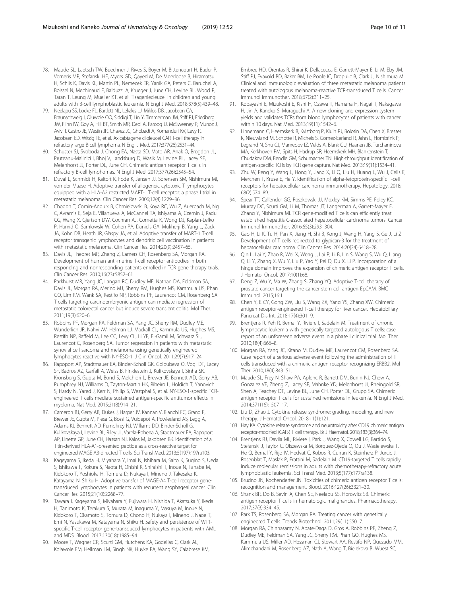- <span id="page-9-0"></span>78. Maude SL, Laetsch TW, Buechner J, Rives S, Boyer M, Bittencourt H, Bader P, Verneris MR, Stefanski HE, Myers GD, Qayed M, De Moerloose B, Hiramatsu H, Schlis K, Davis KL, Martin PL, Nemecek ER, Yanik GA, Peters C, Baruchel A, Boissel N, Mechinaud F, Balduzzi A, Krueger J, June CH, Levine BL, Wood P, Taran T, Leung M, Mueller KT, et al. Tisagenlecleucel in children and young adults with B-cell lymphoblastic leukemia. N Engl J Med. 2018;378(5):439–48.
- 79. Neelapu SS, Locke FL, Bartlett NL, Lekakis LJ, Miklos DB, Jacobson CA, Braunschweig I, Oluwole OO, Siddiqi T, Lin Y, Timmerman JM, Stiff PJ, Friedberg JW, Flinn IW, Goy A, Hill BT, Smith MR, Deol A, Farooq U, McSweeney P, Munoz J, Avivi I, Castro JE, Westin JR, Chavez JC, Ghobadi A, Komanduri KV, Levy R, Jacobsen ED, Witzig TE, et al. Axicabtagene ciloleucel CAR T-cell therapy in refractory large B-cell lymphoma. N Engl J Med. 2017;377(26):2531–44.
- 80. Schuster SJ, Svoboda J, Chong EA, Nasta SD, Mato AR, Anak O, Brogdon JL, Pruteanu-Malinici I, Bhoj V, Landsburg D, Wasik M, Levine BL, Lacey SF, Melenhorst JJ, Porter DL, June CH. Chimeric antigen receptor T cells in refractory B-cell lymphomas. N Engl J Med. 2017;377(26):2545–54.
- 81. Duval L, Schmidt H, Kaltoft K, Fode K, Jensen JJ, Sorensen SM, Nishimura MI, von der Maase H. Adoptive transfer of allogeneic cytotoxic T lymphocytes equipped with a HLA-A2 restricted MART-1 T-cell receptor: a phase I trial in metastatic melanoma. Clin Cancer Res. 2006;12(4):1229–36.
- 82. Chodon T, Comin-Anduix B, Chmielowski B, Koya RC, Wu Z, Auerbach M, Ng C, Avramis E, Seja E, Villanueva A, McCannel TA, Ishiyama A, Czernin J, Radu CG, Wang X, Gjertson DW, Cochran AJ, Cornetta K, Wong DJ, Kaplan-Lefko P, Hamid O, Samlowski W, Cohen PA, Daniels GA, Mukherji B, Yang L, Zack JA, Kohn DB, Heath JR, Glaspy JA, et al. Adoptive transfer of MART-1 T-cell receptor transgenic lymphocytes and dendritic cell vaccination in patients with metastatic melanoma. Clin Cancer Res. 2014;20(9):2457–65.
- 83. Davis JL, Theoret MR, Zheng Z, Lamers CH, Rosenberg SA, Morgan RA. Development of human anti-murine T-cell receptor antibodies in both responding and nonresponding patients enrolled in TCR gene therapy trials. Clin Cancer Res. 2010;16(23):5852–61.
- 84. Parkhurst MR, Yang JC, Langan RC, Dudley ME, Nathan DA, Feldman SA, Davis JL, Morgan RA, Merino MJ, Sherry RM, Hughes MS, Kammula US, Phan GQ, Lim RM, Wank SA, Restifo NP, Robbins PF, Laurencot CM, Rosenberg SA. T cells targeting carcinoembryonic antigen can mediate regression of metastatic colorectal cancer but induce severe transient colitis. Mol Ther. 2011;19(3):620–6.
- 85. Robbins PF, Morgan RA, Feldman SA, Yang JC, Sherry RM, Dudley ME, Wunderlich JR, Nahvi AV, Helman LJ, Mackall CL, Kammula US, Hughes MS, Restifo NP, Raffeld M, Lee CC, Levy CL, Li YF, El-Gamil M, Schwarz SL, Laurencot C, Rosenberg SA. Tumor regression in patients with metastatic synovial cell sarcoma and melanoma using genetically engineered lymphocytes reactive with NY-ESO-1. J Clin Oncol. 2011;29(7):917–24.
- 86. Rapoport AP, Stadtmauer EA, Binder-Scholl GK, Goloubeva O, Vogl DT, Lacey SF, Badros AZ, Garfall A, Weiss B, Finklestein J, Kulikovskaya I, Sinha SK, Kronsberg S, Gupta M, Bond S, Melchiori L, Brewer JE, Bennett AD, Gerry AB, Pumphrey NJ, Williams D, Tayton-Martin HK, Ribeiro L, Holdich T, Yanovich S, Hardy N, Yared J, Kerr N, Philip S, Westphal S, et al. NY-ESO-1-specific TCRengineered T cells mediate sustained antigen-specific antitumor effects in myeloma. Nat Med. 2015;21(8):914–21.
- 87. Cameron BJ, Gerry AB, Dukes J, Harper JV, Kannan V, Bianchi FC, Grand F, Brewer JE, Gupta M, Plesa G, Bossi G, Vuidepot A, Powlesland AS, Legg A, Adams KJ, Bennett AD, Pumphrey NJ, Williams DD, Binder-Scholl G, Kulikovskaya I, Levine BL, Riley JL, Varela-Rohena A, Stadtmauer EA, Rapoport AP, Linette GP, June CH, Hassan NJ, Kalos M, Jakobsen BK. Identification of a Titin-derived HLA-A1-presented peptide as a cross-reactive target for engineered MAGE A3-directed T cells. Sci Transl Med. 2013;5(197):197ra103.
- 88. Kageyama S, Ikeda H, Miyahara Y, Imai N, Ishihara M, Saito K, Sugino S, Ueda S, Ishikawa T, Kokura S, Naota H, Ohishi K, Shiraishi T, Inoue N, Tanabe M, Kidokoro T, Yoshioka H, Tomura D, Nukaya I, Mineno J, Takesako K, Katayama N, Shiku H. Adoptive transfer of MAGE-A4 T-cell receptor genetransduced lymphocytes in patients with recurrent esophageal cancer. Clin Cancer Res. 2015;21(10):2268–77.
- 89. Tawara I, Kageyama S, Miyahara Y, Fujiwara H, Nishida T, Akatsuka Y, Ikeda H, Tanimoto K, Terakura S, Murata M, Inaguma Y, Masuya M, Inoue N, Kidokoro T, Okamoto S, Tomura D, Chono H, Nukaya I, Mineno J, Naoe T, Emi N, Yasukawa M, Katayama N, Shiku H. Safety and persistence of WT1 specific T-cell receptor gene-transduced lymphocytes in patients with AML and MDS. Blood. 2017;130(18):1985–94.
- 90. Moore T, Wagner CR, Scurti GM, Hutchens KA, Godellas C, Clark AL, Kolawole EM, Hellman LM, Singh NK, Huyke FA, Wang SY, Calabrese KM,

Embree HD, Orentas R, Shirai K, Dellacecca E, Garrett-Mayer E, Li M, Eby JM, Stiff PJ, Evavold BD, Baker BM, Le Poole IC, Dropulic B, Clark JI, Nishimura MI. Clinical and immunologic evaluation of three metastatic melanoma patients treated with autologous melanoma-reactive TCR-transduced T cells. Cancer Immunol Immunother. 2018;67(2):311–25.

- 91. Kobayashi E, Mizukoshi E, Kishi H, Ozawa T, Hamana H, Nagai T, Nakagawa H, Jin A, Kaneko S, Muraguchi A. A new cloning and expression system yields and validates TCRs from blood lymphocytes of patients with cancer within 10 days. Nat Med. 2013;19(11):1542–6.
- 92. Linnemann C, Heemskerk B, Kvistborg P, Kluin RJ, Bolotin DA, Chen X, Bresser K, Nieuwland M, Schotte R, Michels S, Gomez-Eerland R, Jahn L, Hombrink P, Legrand N, Shu CJ, Mamedov IZ, Velds A, Blank CU, Haanen JB, Turchaninova MA, Kerkhoven RM, Spits H, Hadrup SR, Heemskerk MH, Blankenstein T, Chudakov DM, Bendle GM, Schumacher TN. High-throughput identification of antigen-specific TCRs by TCR gene capture. Nat Med. 2013;19(11):1534–41.
- 93. Zhu W, Peng Y, Wang L, Hong Y, Jiang X, Li Q, Liu H, Huang L, Wu J, Celis E, Merchen T, Kruse E, He Y. Identification of alpha-fetoprotein-specific T-cell receptors for hepatocellular carcinoma immunotherapy. Hepatology. 2018; 68(2):574–89.
- 94. Spear TT, Callender GG, Roszkowski JJ, Moxley KM, Simms PE, Foley KC, Murray DC, Scurti GM, Li M, Thomas JT, Langerman A, Garrett-Mayer E, Zhang Y, Nishimura MI. TCR gene-modified T cells can efficiently treat established hepatitis C-associated hepatocellular carcinoma tumors. Cancer Immunol Immunother. 2016;65(3):293–304.
- 95. Gao H, Li K, Tu H, Pan X, Jiang H, Shi B, Kong J, Wang H, Yang S, Gu J, Li Z. Development of T cells redirected to glypican-3 for the treatment of hepatocellular carcinoma. Clin Cancer Res. 2014;20(24):6418–28.
- 96. Qin L, Lai Y, Zhao R, Wei X, Weng J, Lai P, Li B, Lin S, Wang S, Wu Q, Liang Q, Li Y, Zhang X, Wu Y, Liu P, Yao Y, Pei D, Du X, Li P. Incorporation of a hinge domain improves the expansion of chimeric antigen receptor T cells. J Hematol Oncol. 2017;10(1):68.
- 97. Deng Z, Wu Y, Ma W, Zhang S, Zhang YQ. Adoptive T-cell therapy of prostate cancer targeting the cancer stem cell antigen EpCAM. BMC Immunol. 2015;16:1.
- 98. Chen Y, E CY, Gong ZW, Liu S, Wang ZX, Yang YS, Zhang XW. Chimeric antigen receptor-engineered T-cell therapy for liver cancer. Hepatobiliary Pancreat Dis Int. 2018;17(4):301–9.
- 99. Brentjens R, Yeh R, Bernal Y, Riviere I, Sadelain M. Treatment of chronic lymphocytic leukemia with genetically targeted autologous T cells: case report of an unforeseen adverse event in a phase I clinical trial. Mol Ther. 2010;18(4):666–8.
- 100. Morgan RA, Yang JC, Kitano M, Dudley ME, Laurencot CM, Rosenberg SA. Case report of a serious adverse event following the administration of T cells transduced with a chimeric antigen receptor recognizing ERBB2. Mol Ther. 2010;18(4):843–51.
- 101. Maude SL, Frey N, Shaw PA, Aplenc R, Barrett DM, Bunin NJ, Chew A, Gonzalez VE, Zheng Z, Lacey SF, Mahnke YD, Melenhorst JJ, Rheingold SR, Shen A, Teachey DT, Levine BL, June CH, Porter DL, Grupp SA. Chimeric antigen receptor T cells for sustained remissions in leukemia. N Engl J Med. 2014;371(16):1507–17.
- 102. Liu D, Zhao J. Cytokine release syndrome: grading, modeling, and new therapy. J Hematol Oncol. 2018;11(1):121.
- 103. Hay KA. Cytokine release syndrome and neurotoxicity after CD19 chimeric antigen receptor-modified (CAR-) T cell therapy. Br J Haematol. 2018;183(3):364–74.
- 104. Brentjens RJ, Davila ML, Riviere I, Park J, Wang X, Cowell LG, Bartido S, Stefanski J, Taylor C, Olszewska M, Borquez-Ojeda O, Qu J, Wasielewska T, He Q, Bernal Y, Rijo IV, Hedvat C, Kobos R, Curran K, Steinherz P, Jurcic J, Rosenblat T, Maslak P, Frattini M, Sadelain M. CD19-targeted T cells rapidly induce molecular remissions in adults with chemotherapy-refractory acute lymphoblastic leukemia. Sci Transl Med. 2013;5(177):177ra138.
- 105. Brudno JN, Kochenderfer JN. Toxicities of chimeric antigen receptor T cells: recognition and management. Blood. 2016;127(26):3321–30.
- 106. Shank BR, Do B, Sevin A, Chen SE, Neelapu SS, Horowitz SB. Chimeric antigen receptor T cells in hematologic malignancies. Pharmacotherapy. 2017;37(3):334–45.
- 107. Park TS, Rosenberg SA, Morgan RA. Treating cancer with genetically engineered T cells. Trends Biotechnol. 2011;29(11):550–7.
- 108. Morgan RA, Chinnasamy N, Abate-Daga D, Gros A, Robbins PF, Zheng Z, Dudley ME, Feldman SA, Yang JC, Sherry RM, Phan GQ, Hughes MS, Kammula US, Miller AD, Hessman CJ, Stewart AA, Restifo NP, Quezado MM, Alimchandani M, Rosenberg AZ, Nath A, Wang T, Bielekova B, Wuest SC,